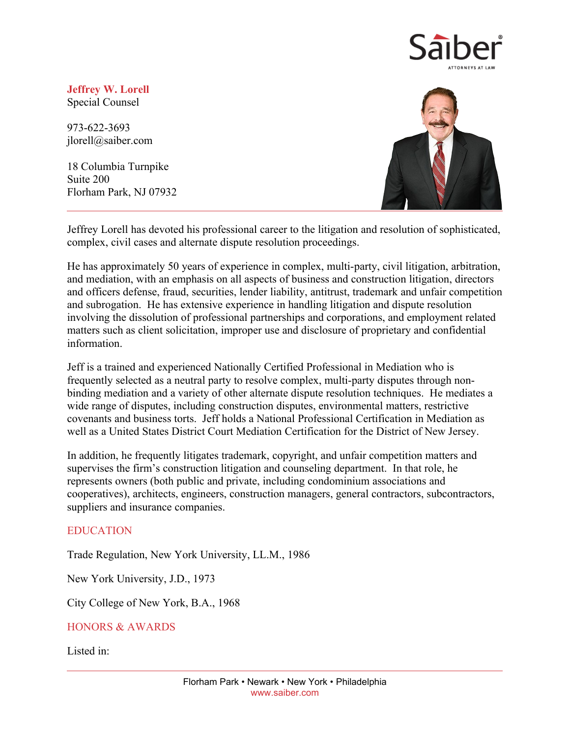

**Jeffrey W. Lorell** Special Counsel

973-622-3693 jlorell@saiber.com

18 Columbia Turnpike Suite 200 Florham Park, NJ 07932



Jeffrey Lorell has devoted his professional career to the litigation and resolution of sophisticated, complex, civil cases and alternate dispute resolution proceedings.

He has approximately 50 years of experience in complex, multi-party, civil litigation, arbitration, and mediation, with an emphasis on all aspects of business and construction litigation, directors and officers defense, fraud, securities, lender liability, antitrust, trademark and unfair competition and subrogation. He has extensive experience in handling litigation and dispute resolution involving the dissolution of professional partnerships and corporations, and employment related matters such as client solicitation, improper use and disclosure of proprietary and confidential information.

Jeff is a trained and experienced Nationally Certified Professional in Mediation who is frequently selected as a neutral party to resolve complex, multi-party disputes through nonbinding mediation and a variety of other alternate dispute resolution techniques. He mediates a wide range of disputes, including construction disputes, environmental matters, restrictive covenants and business torts. Jeff holds a National Professional Certification in Mediation as well as a United States District Court Mediation Certification for the District of New Jersey.

In addition, he frequently litigates trademark, copyright, and unfair competition matters and supervises the firm's construction litigation and counseling department. In that role, he represents owners (both public and private, including condominium associations and cooperatives), architects, engineers, construction managers, general contractors, subcontractors, suppliers and insurance companies.

## EDUCATION

Trade Regulation, New York University, LL.M., 1986

New York University, J.D., 1973

City College of New York, B.A., 1968

## HONORS & AWARDS

Listed in: